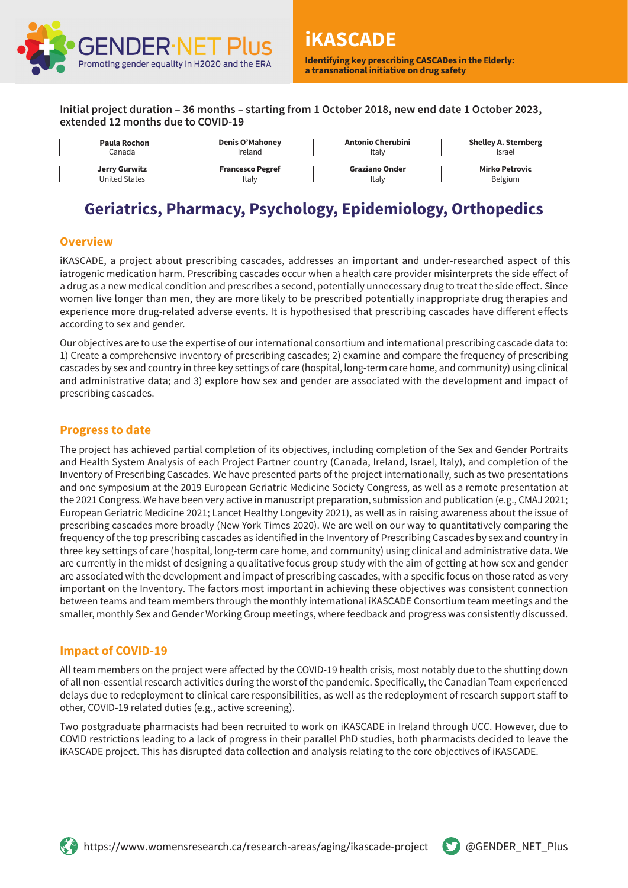

**Identifying key prescribing CASCADes in the Elderly: a transnational initiative on drug safety**

**Initial project duration – 36 months – starting from 1 October 2018, new end date 1 October 2023, extended 12 months due to COVID-19**

Canada **Jerry Gurwitz** United States

**Paula Rochon** 

**Denis O'Mahoney**

Ireland **Francesco Pegref** Italy

**Antonio Cherubini** Italy

**Graziano Onder** Italy

**Shelley A. Sternberg** Israel

**Mirko Petrovic** Belgium

# **Geriatrics, Pharmacy, Psychology, Epidemiology, Orthopedics**

# **Overview**

iKASCADE, a project about prescribing cascades, addresses an important and under-researched aspect of this iatrogenic medication harm. Prescribing cascades occur when a health care provider misinterprets the side effect of a drug as a new medical condition and prescribes a second, potentially unnecessary drug to treat the side effect. Since women live longer than men, they are more likely to be prescribed potentially inappropriate drug therapies and experience more drug-related adverse events. It is hypothesised that prescribing cascades have different effects according to sex and gender.

Our objectives are to use the expertise of our international consortium and international prescribing cascade data to: 1) Create a comprehensive inventory of prescribing cascades; 2) examine and compare the frequency of prescribing cascades by sex and country in three key settings of care (hospital, long-term care home, and community) using clinical and administrative data; and 3) explore how sex and gender are associated with the development and impact of prescribing cascades.

# **Progress to date**

The project has achieved partial completion of its objectives, including completion of the Sex and Gender Portraits and Health System Analysis of each Project Partner country (Canada, Ireland, Israel, Italy), and completion of the Inventory of Prescribing Cascades. We have presented parts of the project internationally, such as two presentations and one symposium at the 2019 European Geriatric Medicine Society Congress, as well as a remote presentation at the 2021 Congress. We have been very active in manuscript preparation, submission and publication (e.g., CMAJ 2021; European Geriatric Medicine 2021; Lancet Healthy Longevity 2021), as well as in raising awareness about the issue of prescribing cascades more broadly (New York Times 2020). We are well on our way to quantitatively comparing the frequency of the top prescribing cascades as identified in the Inventory of Prescribing Cascades by sex and country in three key settings of care (hospital, long-term care home, and community) using clinical and administrative data. We are currently in the midst of designing a qualitative focus group study with the aim of getting at how sex and gender are associated with the development and impact of prescribing cascades, with a specific focus on those rated as very important on the Inventory. The factors most important in achieving these objectives was consistent connection between teams and team members through the monthly international iKASCADE Consortium team meetings and the smaller, monthly Sex and Gender Working Group meetings, where feedback and progress was consistently discussed.

# **Impact of COVID-19**

All team members on the project were affected by the COVID-19 health crisis, most notably due to the shutting down of all non-essential research activities during the worst of the pandemic. Specifically, the Canadian Team experienced delays due to redeployment to clinical care responsibilities, as well as the redeployment of research support staff to other, COVID-19 related duties (e.g., active screening).

Two postgraduate pharmacists had been recruited to work on iKASCADE in Ireland through UCC. However, due to COVID restrictions leading to a lack of progress in their parallel PhD studies, both pharmacists decided to leave the iKASCADE project. This has disrupted data collection and analysis relating to the core objectives of iKASCADE.